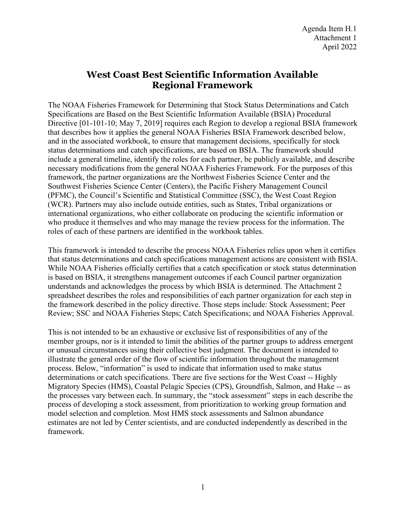## **West Coast Best Scientific Information Available Regional Framework**

The NOAA Fisheries Framework for Determining that Stock Status Determinations and Catch Specifications are Based on the Best Scientific Information Available (BSIA) Procedural Directive [01-101-10; May 7, 2019] requires each Region to develop a regional BSIA framework that describes how it applies the general NOAA Fisheries BSIA Framework described below, and in the associated workbook, to ensure that management decisions, specifically for stock status determinations and catch specifications, are based on BSIA. The framework should include a general timeline, identify the roles for each partner, be publicly available, and describe necessary modifications from the general NOAA Fisheries Framework. For the purposes of this framework, the partner organizations are the Northwest Fisheries Science Center and the Southwest Fisheries Science Center (Centers), the Pacific Fishery Management Council (PFMC), the Council's Scientific and Statistical Committee (SSC), the West Coast Region (WCR). Partners may also include outside entities, such as States, Tribal organizations or international organizations, who either collaborate on producing the scientific information or who produce it themselves and who may manage the review process for the information. The roles of each of these partners are identified in the workbook tables.

This framework is intended to describe the process NOAA Fisheries relies upon when it certifies that status determinations and catch specifications management actions are consistent with BSIA. While NOAA Fisheries officially certifies that a catch specification or stock status determination is based on BSIA, it strengthens management outcomes if each Council partner organization understands and acknowledges the process by which BSIA is determined. The Attachment 2 spreadsheet describes the roles and responsibilities of each partner organization for each step in the framework described in the policy directive. Those steps include: Stock Assessment; Peer Review; SSC and NOAA Fisheries Steps; Catch Specifications; and NOAA Fisheries Approval.

This is not intended to be an exhaustive or exclusive list of responsibilities of any of the member groups, nor is it intended to limit the abilities of the partner groups to address emergent or unusual circumstances using their collective best judgment. The document is intended to illustrate the general order of the flow of scientific information throughout the management process. Below, "information" is used to indicate that information used to make status determinations or catch specifications. There are five sections for the West Coast -- Highly Migratory Species (HMS), Coastal Pelagic Species (CPS), Groundfish, Salmon, and Hake -- as the processes vary between each. In summary, the "stock assessment" steps in each describe the process of developing a stock assessment, from prioritization to working group formation and model selection and completion. Most HMS stock assessments and Salmon abundance estimates are not led by Center scientists, and are conducted independently as described in the framework.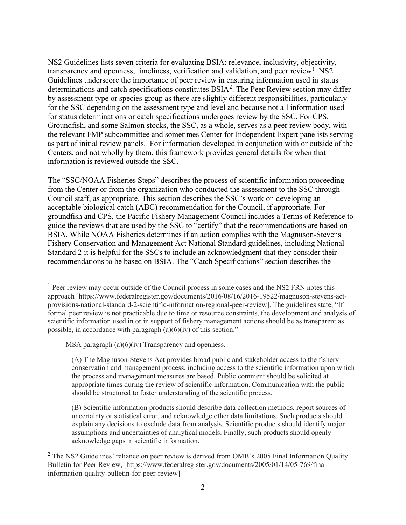NS2 Guidelines lists seven criteria for evaluating BSIA: relevance, inclusivity, objectivity, transparency and openness, timeliness, verification and validation, and peer review<sup>[1](#page-1-0)</sup>. NS2 Guidelines underscore the importance of peer review in ensuring information used in status determinations and catch specifications constitutes  $BSIA<sup>2</sup>$  $BSIA<sup>2</sup>$  $BSIA<sup>2</sup>$ . The Peer Review section may differ by assessment type or species group as there are slightly different responsibilities, particularly for the SSC depending on the assessment type and level and because not all information used for status determinations or catch specifications undergoes review by the SSC. For CPS, Groundfish, and some Salmon stocks, the SSC, as a whole, serves as a peer review body, with the relevant FMP subcommittee and sometimes Center for Independent Expert panelists serving as part of initial review panels. For information developed in conjunction with or outside of the Centers, and not wholly by them, this framework provides general details for when that information is reviewed outside the SSC.

The "SSC/NOAA Fisheries Steps" describes the process of scientific information proceeding from the Center or from the organization who conducted the assessment to the SSC through Council staff, as appropriate. This section describes the SSC's work on developing an acceptable biological catch (ABC) recommendation for the Council, if appropriate. For groundfish and CPS, the Pacific Fishery Management Council includes a Terms of Reference to guide the reviews that are used by the SSC to "certify" that the recommendations are based on BSIA. While NOAA Fisheries determines if an action complies with the Magnuson-Stevens Fishery Conservation and Management Act National Standard guidelines, including National Standard 2 it is helpful for the SSCs to include an acknowledgment that they consider their recommendations to be based on BSIA. The "Catch Specifications" section describes the

<span id="page-1-0"></span><sup>&</sup>lt;sup>1</sup> Peer review may occur outside of the Council process in some cases and the NS2 [FRN](https://www.federalregister.gov/documents/2016/08/16/2016-19522/magnuson-stevens-act-provisions-national-standard-2-scientific-information-regional-peer-review) notes this approach [https://www.federalregister.gov/documents/2016/08/16/2016-19522/magnuson-stevens-actprovisions-national-standard-2-scientific-information-regional-peer-review]. The guidelines state, "If formal peer review is not practicable due to time or resource constraints, the development and analysis of scientific information used in or in support of fishery management actions should be as transparent as possible, in accordance with [paragraph](https://www.ecfr.gov/current/title-50/section-600.315%23p-600.315(a)(6)(iv))  $(a)(6)(iv)$  of this section."

MSA paragraph (a)(6)(iv) Transparency and openness.

<sup>(</sup>A) The Magnuson-Stevens Act provides broad public and stakeholder access to the fishery conservation and management process, including access to the scientific information upon which the process and management measures are based. Public comment should be solicited at appropriate times during the review of scientific information. Communication with the public should be structured to foster understanding of the scientific process.

<sup>(</sup>B) Scientific information products should describe data collection methods, report sources of uncertainty or statistical error, and acknowledge other data limitations. Such products should explain any decisions to exclude data from analysis. Scientific products should identify major assumptions and uncertainties of analytical models. Finally, such products should openly acknowledge gaps in scientific information.

<span id="page-1-1"></span><sup>&</sup>lt;sup>2</sup> The NS2 Guidelines' reliance on peer review is derived from OMB's 2005 Final Information Quality Bulletin for Peer Review, [https://www.federalregister.gov/documents/2005/01/14/05-769/finalinformation-quality-bulletin-for-peer-review]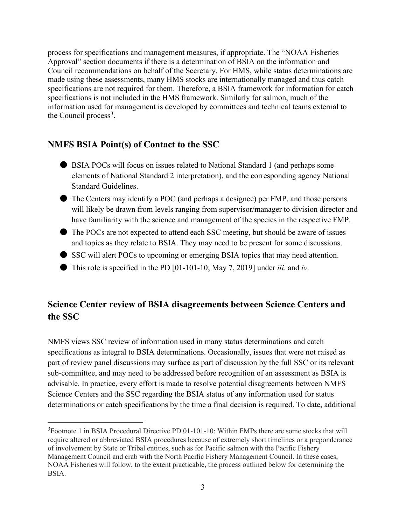process for specifications and management measures, if appropriate. The "NOAA Fisheries Approval" section documents if there is a determination of BSIA on the information and Council recommendations on behalf of the Secretary. For HMS, while status determinations are made using these assessments, many HMS stocks are internationally managed and thus catch specifications are not required for them. Therefore, a BSIA framework for information for catch specifications is not included in the HMS framework. Similarly for salmon, much of the information used for management is developed by committees and technical teams external to the Council process<sup>[3](#page-2-0)</sup>.

## **NMFS BSIA Point(s) of Contact to the SSC**

- BSIA POCs will focus on issues related to National Standard 1 (and perhaps some elements of National Standard 2 interpretation), and the corresponding agency National Standard Guidelines.
- The Centers may identify a POC (and perhaps a designee) per FMP, and those persons will likely be drawn from levels ranging from supervisor/manager to division director and have familiarity with the science and management of the species in the respective FMP.
- The POCs are not expected to attend each SSC meeting, but should be aware of issues and topics as they relate to BSIA. They may need to be present for some discussions.
- SSC will alert POCs to upcoming or emerging BSIA topics that may need attention.
- This role is specified in the PD [01-101-10; May 7, 2019] under *iii*. and *iv*.

## **Science Center review of BSIA disagreements between Science Centers and the SSC**

NMFS views SSC review of information used in many status determinations and catch specifications as integral to BSIA determinations. Occasionally, issues that were not raised as part of review panel discussions may surface as part of discussion by the full SSC or its relevant sub-committee, and may need to be addressed before recognition of an assessment as BSIA is advisable. In practice, every effort is made to resolve potential disagreements between NMFS Science Centers and the SSC regarding the BSIA status of any information used for status determinations or catch specifications by the time a final decision is required. To date, additional

<span id="page-2-0"></span><sup>&</sup>lt;sup>3</sup> Footnote 1 in BSIA Procedural Directive PD 01-101-10: Within FMPs there are some stocks that will require altered or abbreviated BSIA procedures because of extremely short timelines or a preponderance of involvement by State or Tribal entities, such as for Pacific salmon with the Pacific Fishery Management Council and crab with the North Pacific Fishery Management Council. In these cases, NOAA Fisheries will follow, to the extent practicable, the process outlined below for determining the BSIA.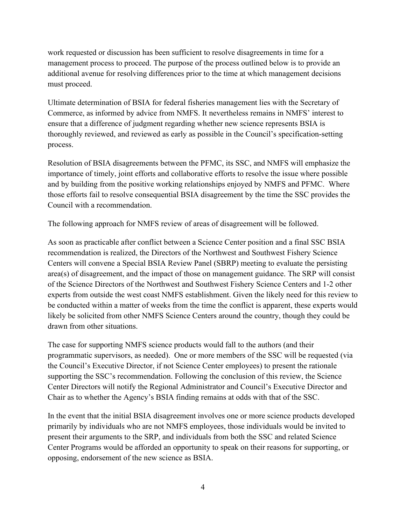work requested or discussion has been sufficient to resolve disagreements in time for a management process to proceed. The purpose of the process outlined below is to provide an additional avenue for resolving differences prior to the time at which management decisions must proceed.

Ultimate determination of BSIA for federal fisheries management lies with the Secretary of Commerce, as informed by advice from NMFS. It nevertheless remains in NMFS' interest to ensure that a difference of judgment regarding whether new science represents BSIA is thoroughly reviewed, and reviewed as early as possible in the Council's specification-setting process.

Resolution of BSIA disagreements between the PFMC, its SSC, and NMFS will emphasize the importance of timely, joint efforts and collaborative efforts to resolve the issue where possible and by building from the positive working relationships enjoyed by NMFS and PFMC. Where those efforts fail to resolve consequential BSIA disagreement by the time the SSC provides the Council with a recommendation.

The following approach for NMFS review of areas of disagreement will be followed.

As soon as practicable after conflict between a Science Center position and a final SSC BSIA recommendation is realized, the Directors of the Northwest and Southwest Fishery Science Centers will convene a Special BSIA Review Panel (SBRP) meeting to evaluate the persisting area(s) of disagreement, and the impact of those on management guidance. The SRP will consist of the Science Directors of the Northwest and Southwest Fishery Science Centers and 1-2 other experts from outside the west coast NMFS establishment. Given the likely need for this review to be conducted within a matter of weeks from the time the conflict is apparent, these experts would likely be solicited from other NMFS Science Centers around the country, though they could be drawn from other situations.

The case for supporting NMFS science products would fall to the authors (and their programmatic supervisors, as needed). One or more members of the SSC will be requested (via the Council's Executive Director, if not Science Center employees) to present the rationale supporting the SSC's recommendation. Following the conclusion of this review, the Science Center Directors will notify the Regional Administrator and Council's Executive Director and Chair as to whether the Agency's BSIA finding remains at odds with that of the SSC.

In the event that the initial BSIA disagreement involves one or more science products developed primarily by individuals who are not NMFS employees, those individuals would be invited to present their arguments to the SRP, and individuals from both the SSC and related Science Center Programs would be afforded an opportunity to speak on their reasons for supporting, or opposing, endorsement of the new science as BSIA.